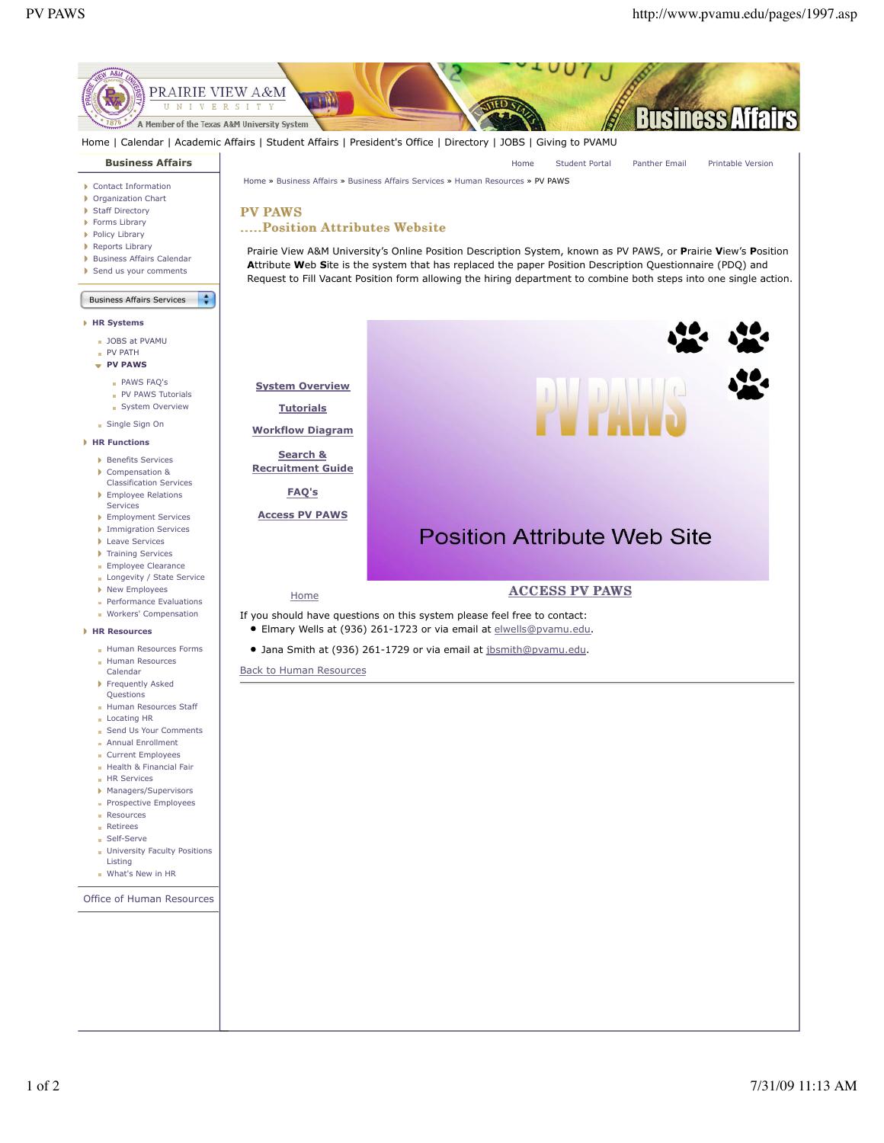

- PV PATH **PV PAWS**
	- PAWS FAQ's
	- PV PAWS Tutorials
	- System Overview
- Single Sign On
- **HR Functions**
	- Benefits Services
	- Compensation & Classification Services **Employee Relations**
	- **Services** Employment Services
	- **Immigration Services**
	- **Leave Services**
	- **Training Services**
	- **Employee Clearance**
	- **Longevity / State Service**
	- New Employees
	- **Performance Evaluations**
	- **Workers' Compensation**

## **HR Resources**

- **Human Resources Forms** Human Resources
- Calendar Frequently Asked
- Questions **Human Resources Staff**
- Locating HR
- Send Us Your Comments
- Annual Enrollment
- Current Employees
- Health & Financial Fair
- **HR Services**
- Managers/Supervisors
- **Prospective Employees**
- **Resources**
- **Retirees**
- Self-Serve
- **University Faculty Positions** Listing
- What's New in HR
- 

Office of Human Resources

**System Overview**

**Tutorials**

**Workflow Diagram Search &**

**Recruitment Guide**

**FAQ's**

**Access PV PAWS**

## **Position Attribute Web Site**

## Home **ACCESS PV PAWS**

If you should have questions on this system please feel free to contact: Elmary Wells at (936) 261-1723 or via email at elwells@pvamu.edu.

Jana Smith at (936) 261-1729 or via email at jbsmith@pvamu.edu.

Back to Human Resources